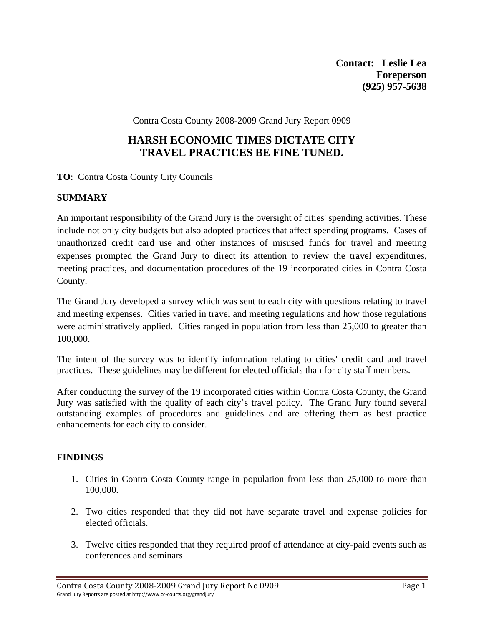**Contact: Leslie Lea Foreperson (925) 957-5638** 

Contra Costa County 2008-2009 Grand Jury Report 0909

# **HARSH ECONOMIC TIMES DICTATE CITY TRAVEL PRACTICES BE FINE TUNED.**

**TO**: Contra Costa County City Councils

## **SUMMARY**

An important responsibility of the Grand Jury is the oversight of cities' spending activities. These include not only city budgets but also adopted practices that affect spending programs. Cases of unauthorized credit card use and other instances of misused funds for travel and meeting expenses prompted the Grand Jury to direct its attention to review the travel expenditures, meeting practices, and documentation procedures of the 19 incorporated cities in Contra Costa County.

The Grand Jury developed a survey which was sent to each city with questions relating to travel and meeting expenses. Cities varied in travel and meeting regulations and how those regulations were administratively applied. Cities ranged in population from less than 25,000 to greater than 100,000.

The intent of the survey was to identify information relating to cities' credit card and travel practices. These guidelines may be different for elected officials than for city staff members.

After conducting the survey of the 19 incorporated cities within Contra Costa County, the Grand Jury was satisfied with the quality of each city's travel policy. The Grand Jury found several outstanding examples of procedures and guidelines and are offering them as best practice enhancements for each city to consider.

### **FINDINGS**

- 1. Cities in Contra Costa County range in population from less than 25,000 to more than 100,000.
- 2. Two cities responded that they did not have separate travel and expense policies for elected officials.
- 3. Twelve cities responded that they required proof of attendance at city-paid events such as conferences and seminars.